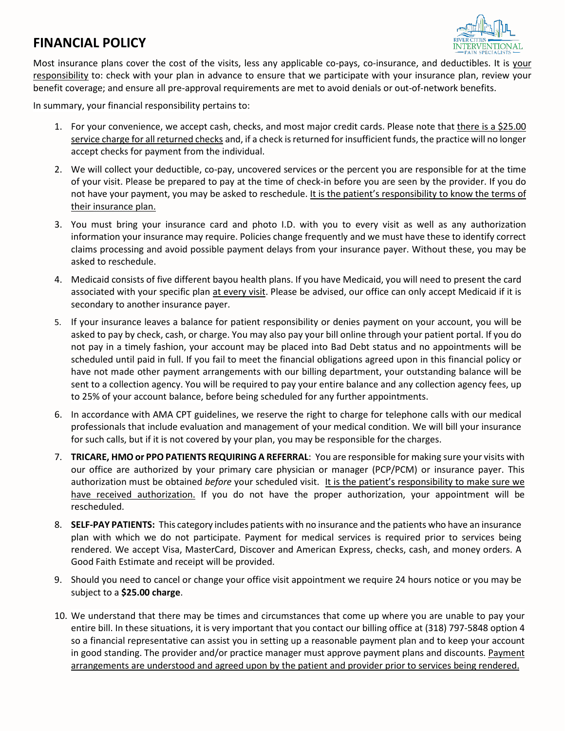## **FINANCIAL POLICY**



Most insurance plans cover the cost of the visits, less any applicable co-pays, co-insurance, and deductibles. It is your responsibility to: check with your plan in advance to ensure that we participate with your insurance plan, review your benefit coverage; and ensure all pre-approval requirements are met to avoid denials or out-of-network benefits.

In summary, your financial responsibility pertains to:

- 1. For your convenience, we accept cash, checks, and most major credit cards. Please note that there is a \$25.00 service charge for all returned checks and, if a check is returned for insufficient funds, the practice will no longer accept checks for payment from the individual.
- 2. We will collect your deductible, co-pay, uncovered services or the percent you are responsible for at the time of your visit. Please be prepared to pay at the time of check-in before you are seen by the provider. If you do not have your payment, you may be asked to reschedule. It is the patient's responsibility to know the terms of their insurance plan.
- 3. You must bring your insurance card and photo I.D. with you to every visit as well as any authorization information your insurance may require. Policies change frequently and we must have these to identify correct claims processing and avoid possible payment delays from your insurance payer. Without these, you may be asked to reschedule.
- 4. Medicaid consists of five different bayou health plans. If you have Medicaid, you will need to present the card associated with your specific plan at every visit. Please be advised, our office can only accept Medicaid if it is secondary to another insurance payer.
- 5. If your insurance leaves a balance for patient responsibility or denies payment on your account, you will be asked to pay by check, cash, or charge. You may also pay your bill online through your patient portal. If you do not pay in a timely fashion, your account may be placed into Bad Debt status and no appointments will be scheduled until paid in full. If you fail to meet the financial obligations agreed upon in this financial policy or have not made other payment arrangements with our billing department, your outstanding balance will be sent to a collection agency. You will be required to pay your entire balance and any collection agency fees, up to 25% of your account balance, before being scheduled for any further appointments.
- 6. In accordance with AMA CPT guidelines, we reserve the right to charge for telephone calls with our medical professionals that include evaluation and management of your medical condition. We will bill your insurance for such calls, but if it is not covered by your plan, you may be responsible for the charges.
- 7. **TRICARE, HMO or PPO PATIENTS REQUIRING A REFERRAL**: You are responsible for making sure your visits with our office are authorized by your primary care physician or manager (PCP/PCM) or insurance payer. This authorization must be obtained *before* your scheduled visit. It is the patient's responsibility to make sure we have received authorization. If you do not have the proper authorization, your appointment will be rescheduled.
- 8. **SELF-PAY PATIENTS:** This category includes patients with no insurance and the patients who have an insurance plan with which we do not participate. Payment for medical services is required prior to services being rendered. We accept Visa, MasterCard, Discover and American Express, checks, cash, and money orders. A Good Faith Estimate and receipt will be provided.
- 9. Should you need to cancel or change your office visit appointment we require 24 hours notice or you may be subject to a **\$25.00 charge**.
- 10. We understand that there may be times and circumstances that come up where you are unable to pay your entire bill. In these situations, it is very important that you contact our billing office at (318) 797-5848 option 4 so a financial representative can assist you in setting up a reasonable payment plan and to keep your account in good standing. The provider and/or practice manager must approve payment plans and discounts. Payment arrangements are understood and agreed upon by the patient and provider prior to services being rendered.